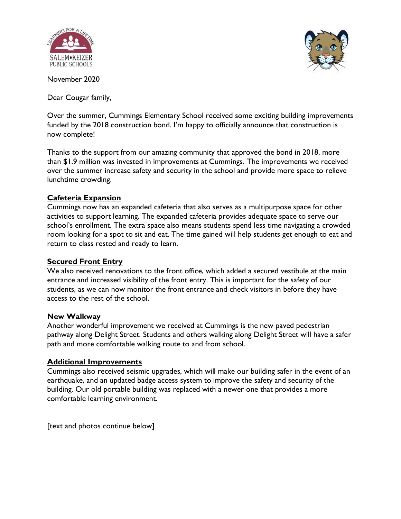



November 2020

Dear Cougar family,

Over the summer, Cummings Elementary School received some exciting building improvements funded by the 2018 construction bond. I'm happy to officially announce that construction is now complete!

Thanks to the support from our amazing community that approved the bond in 2018, more than \$1.9 million was invested in improvements at Cummings. The improvements we received over the summer increase safety and security in the school and provide more space to relieve lunchtime crowding.

## **Cafeteria Expansion**

Cummings now has an expanded cafeteria that also serves as a multipurpose space for other activities to support learning. The expanded cafeteria provides adequate space to serve our school's enrollment. The extra space also means students spend less time navigating a crowded room looking for a spot to sit and eat. The time gained will help students get enough to eat and return to class rested and ready to learn.

## **Secured Front Entry**

We also received renovations to the front office, which added a secured vestibule at the main entrance and increased visibility of the front entry. This is important for the safety of our students, as we can now monitor the front entrance and check visitors in before they have access to the rest of the school.

## **New Walkway**

Another wonderful improvement we received at Cummings is the new paved pedestrian pathway along Delight Street. Students and others walking along Delight Street will have a safer path and more comfortable walking route to and from school.

## **Additional Improvements**

Cummings also received seismic upgrades, which will make our building safer in the event of an earthquake, and an updated badge access system to improve the safety and security of the building. Our old portable building was replaced with a newer one that provides a more comfortable learning environment.

[text and photos continue below]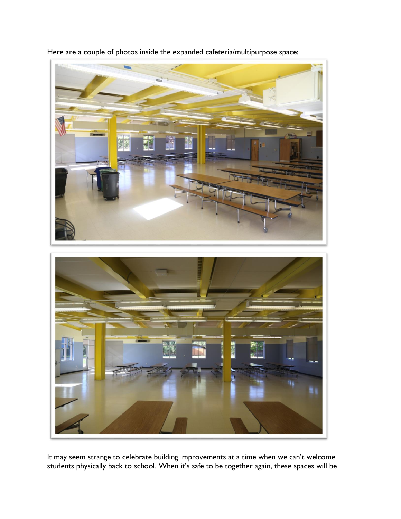

Here are a couple of photos inside the expanded cafeteria/multipurpose space:

It may seem strange to celebrate building improvements at a time when we can't welcome students physically back to school. When it's safe to be together again, these spaces will be